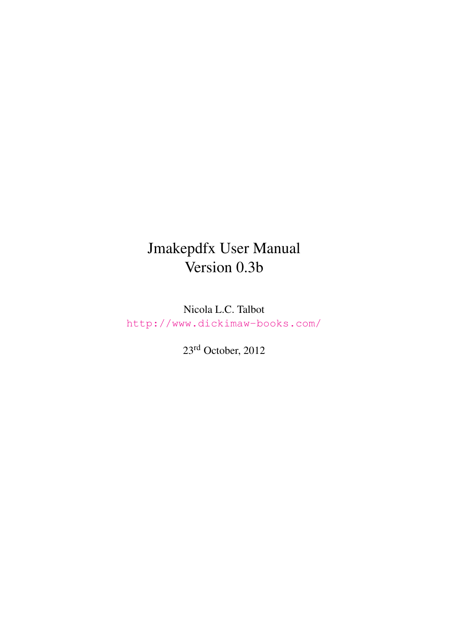# Jmakepdfx User Manual Version 0.3b

Nicola L.C. Talbot <http://www.dickimaw-books.com/>

23rd October, 2012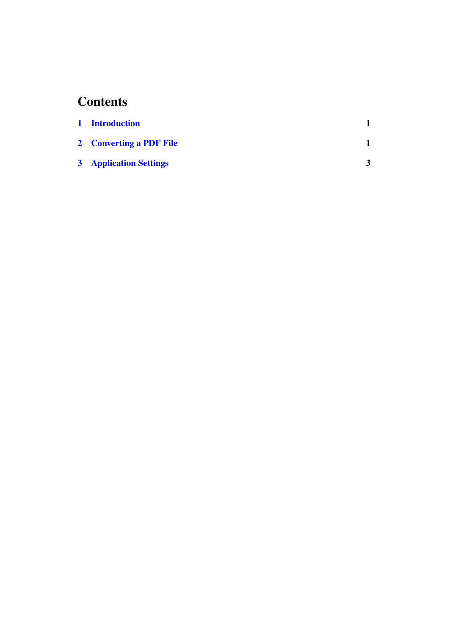## **Contents**

| 1 Introduction                |  |
|-------------------------------|--|
| 2 Converting a PDF File       |  |
| <b>3</b> Application Settings |  |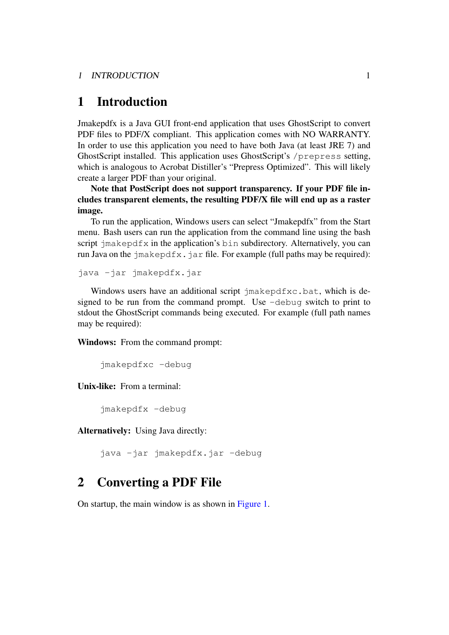## <span id="page-2-0"></span>1 Introduction

Jmakepdfx is a Java GUI front-end application that uses GhostScript to convert PDF files to PDF/X compliant. This application comes with NO WARRANTY. In order to use this application you need to have both Java (at least JRE 7) and GhostScript installed. This application uses GhostScript's /prepress setting, which is analogous to Acrobat Distiller's "Prepress Optimized". This will likely create a larger PDF than your original.

Note that PostScript does not support transparency. If your PDF file includes transparent elements, the resulting PDF/X file will end up as a raster image.

To run the application, Windows users can select "Jmakepdfx" from the Start menu. Bash users can run the application from the command line using the bash script jmakepdfx in the application's bin subdirectory. Alternatively, you can run Java on the  $\exists$ makepdfx. $\exists$ ar file. For example (full paths may be required):

java -jar jmakepdfx.jar

Windows users have an additional script jmakepdfxc.bat, which is designed to be run from the command prompt. Use -debug switch to print to stdout the GhostScript commands being executed. For example (full path names may be required):

Windows: From the command prompt:

jmakepdfxc -debug

Unix-like: From a terminal:

jmakepdfx -debug

Alternatively: Using Java directly:

java -jar jmakepdfx.jar -debug

### <span id="page-2-1"></span>2 Converting a PDF File

On startup, the main window is as shown in [Figure 1.](#page-3-0)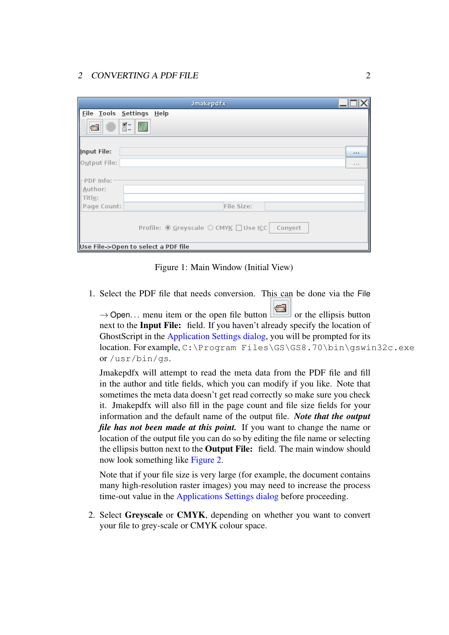<span id="page-3-0"></span>

|                                | <b>Jmakepdfx</b>                                         |       |
|--------------------------------|----------------------------------------------------------|-------|
| Eile Tools Settings Help       |                                                          |       |
| Œ                              | $\mathbb{R}$ - $\boxed{2}$                               |       |
| Input File:                    |                                                          |       |
| Output File:                   |                                                          | 1.1.1 |
| PDF Info:<br>Author:<br>Title: |                                                          |       |
| Page Count:                    | File Size:                                               |       |
|                                | Profile: <u>● G</u> reyscale ○ CMYK □ Use ICC<br>Convert |       |
|                                | Use File->Open to select a PDF file                      |       |

Figure 1: Main Window (Initial View)

1. Select the PDF file that needs conversion. This can be done via the File

 $\rightarrow$  Open... menu item or the open file button or the ellipsis button next to the Input File: field. If you haven't already specify the location of GhostScript in the [Application Settings dialog,](#page-4-0) you will be prompted for its location. For example, C:\Program Files\GS\GS8.70\bin\gswin32c.exe or /usr/bin/gs.

Jmakepdfx will attempt to read the meta data from the PDF file and fill in the author and title fields, which you can modify if you like. Note that sometimes the meta data doesn't get read correctly so make sure you check it. Jmakepdfx will also fill in the page count and file size fields for your information and the default name of the output file. *Note that the output file has not been made at this point.* If you want to change the name or location of the output file you can do so by editing the file name or selecting the ellipsis button next to the Output File: field. The main window should now look something like [Figure 2.](#page-4-1)

Note that if your file size is very large (for example, the document contains many high-resolution raster images) you may need to increase the process time-out value in the [Applications Settings dialog](#page-4-0) before proceeding.

2. Select Greyscale or CMYK, depending on whether you want to convert your file to grey-scale or CMYK colour space.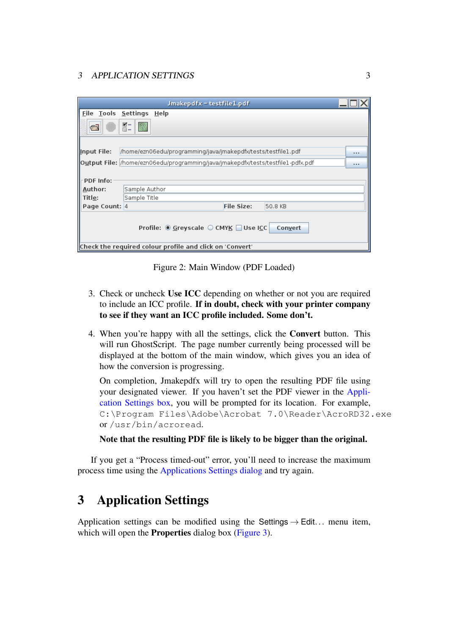<span id="page-4-1"></span>

|                                                                                                              | Jmakepdfx - testfile1.pdf                                                            |  |  |  |  |  |  |
|--------------------------------------------------------------------------------------------------------------|--------------------------------------------------------------------------------------|--|--|--|--|--|--|
| Eile Tools Settings                                                                                          | Help                                                                                 |  |  |  |  |  |  |
| $\equiv$                                                                                                     | $\overline{K}$ –<br>7                                                                |  |  |  |  |  |  |
| Input File:<br>/home/ezn06edu/programming/java/jmakepdfx/tests/testfile1.pdf<br>$\cdots$                     |                                                                                      |  |  |  |  |  |  |
|                                                                                                              | Output File: //home/ezn06edu/programming/java/jmakepdfx/tests/testfile1-pdfx.pdf<br> |  |  |  |  |  |  |
| PDF Info:                                                                                                    |                                                                                      |  |  |  |  |  |  |
| Author:                                                                                                      | Sample Author                                                                        |  |  |  |  |  |  |
| Title:                                                                                                       | Sample Title                                                                         |  |  |  |  |  |  |
| Page Count: 4                                                                                                | File Size:<br>50.8 KB                                                                |  |  |  |  |  |  |
| Profile: · Greyscale ○ CMYK ■ Use ICC<br>Convert<br>Check the required colour profile and click on 'Convert' |                                                                                      |  |  |  |  |  |  |

Figure 2: Main Window (PDF Loaded)

- 3. Check or uncheck Use ICC depending on whether or not you are required to include an ICC profile. If in doubt, check with your printer company to see if they want an ICC profile included. Some don't.
- 4. When you're happy with all the settings, click the Convert button. This will run GhostScript. The page number currently being processed will be displayed at the bottom of the main window, which gives you an idea of how the conversion is progressing.

On completion, Jmakepdfx will try to open the resulting PDF file using your designated viewer. If you haven't set the PDF viewer in the [Appli](#page-4-0)[cation Settings box,](#page-4-0) you will be prompted for its location. For example, C:\Program Files\Adobe\Acrobat 7.0\Reader\AcroRD32.exe or /usr/bin/acroread.

#### Note that the resulting PDF file is likely to be bigger than the original.

If you get a "Process timed-out" error, you'll need to increase the maximum process time using the [Applications Settings dialog](#page-4-0) and try again.

## <span id="page-4-0"></span>3 Application Settings

Application settings can be modified using the Settings  $\rightarrow$  Edit... menu item, which will open the **Properties** dialog box [\(Figure 3\)](#page-5-0).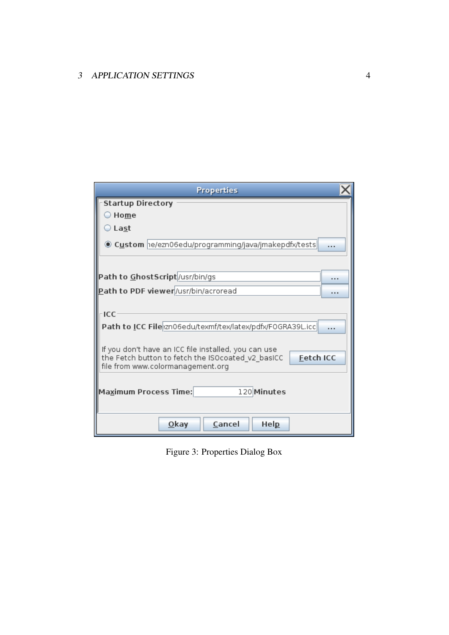<span id="page-5-0"></span>

|                                      | <b>Properties</b>                                                     |  |  |  |  |
|--------------------------------------|-----------------------------------------------------------------------|--|--|--|--|
| <b>Startup Directory</b>             |                                                                       |  |  |  |  |
| $\supset$ Home                       |                                                                       |  |  |  |  |
| $\bigcirc$ Last                      |                                                                       |  |  |  |  |
|                                      | ◉ C <u>u</u> stom  າe/ezn06edu/programming/java/jmakepdfx/tests <br>. |  |  |  |  |
|                                      |                                                                       |  |  |  |  |
|                                      |                                                                       |  |  |  |  |
|                                      | Path to GhostScript /usr/bin/gs<br>                                   |  |  |  |  |
|                                      | Path to PDF viewer/usr/bin/acroread<br>.                              |  |  |  |  |
|                                      |                                                                       |  |  |  |  |
| ·ICC                                 |                                                                       |  |  |  |  |
|                                      | Path to ICC File zn06edu/texmf/tex/latex/pdfx/F0GRA39L.icc<br>.       |  |  |  |  |
|                                      |                                                                       |  |  |  |  |
|                                      | If you don't have an ICC file installed, you can use                  |  |  |  |  |
|                                      | <b>Fetch ICC</b><br>the Fetch button to fetch the ISOcoated v2 basICC |  |  |  |  |
|                                      | file from www.colormanagement.org                                     |  |  |  |  |
|                                      |                                                                       |  |  |  |  |
| Maximum Process Time:<br>120 Minutes |                                                                       |  |  |  |  |
|                                      |                                                                       |  |  |  |  |
|                                      | Cancel<br><u>O</u> kay<br>Hel <u>p</u>                                |  |  |  |  |
|                                      |                                                                       |  |  |  |  |

Figure 3: Properties Dialog Box